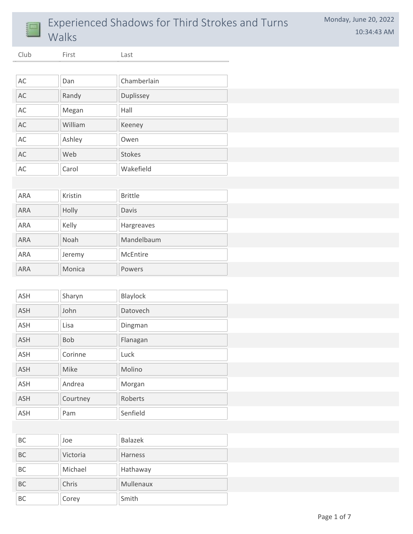

## Experienced Shadows for Third Strokes and Turns Walks

Club First Last

| AC | Dan     | Chamberlain   |
|----|---------|---------------|
| AC | Randy   | Duplissey     |
| AC | Megan   | Hall          |
| AC | William | Keeney        |
| AC | Ashley  | Owen          |
| AC | Web     | <b>Stokes</b> |
| AC | Carol   | Wakefield     |

| ARA        | Kristin     | <b>Brittle</b> |
|------------|-------------|----------------|
| <b>ARA</b> | Holly       | Davis          |
| ARA        | Kelly       | Hargreaves     |
| <b>ARA</b> | <b>Noah</b> | Mandelbaum     |
| <b>ARA</b> | Jeremy      | McEntire       |
| <b>ARA</b> | Monica      | Powers         |

| <b>ASH</b> | Sharyn   | Blaylock |
|------------|----------|----------|
| <b>ASH</b> | John     | Datovech |
| <b>ASH</b> | Lisa     | Dingman  |
| <b>ASH</b> | Bob      | Flanagan |
| <b>ASH</b> | Corinne  | Luck     |
| <b>ASH</b> | Mike     | Molino   |
| <b>ASH</b> | Andrea   | Morgan   |
| <b>ASH</b> | Courtney | Roberts  |
| <b>ASH</b> | Pam      | Senfield |

| <b>BC</b> | Joe      | <b>Balazek</b> |
|-----------|----------|----------------|
| <b>BC</b> | Victoria | <b>Harness</b> |
| BC        | Michael  | Hathaway       |
| <b>BC</b> | Chris    | Mullenaux      |
| <b>BC</b> | Corey    | Smith          |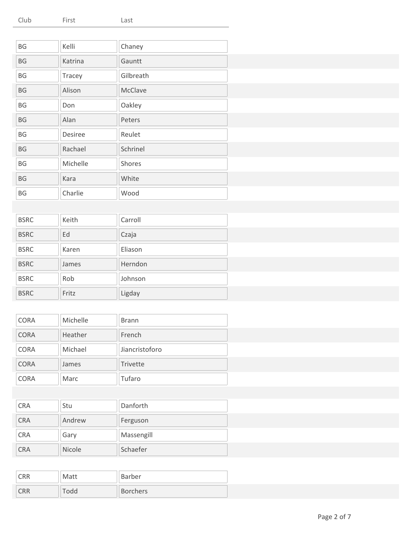| Club<br>First | Last |  |
|---------------|------|--|
|---------------|------|--|

| BG                     | Kelli    | Chaney    |
|------------------------|----------|-----------|
| BG                     | Katrina  | Gauntt    |
| BG                     | Tracey   | Gilbreath |
| $\mathsf{B}\mathsf{G}$ | Alison   | McClave   |
| BG                     | Don      | Oakley    |
| $\mathsf{B}\mathsf{G}$ | Alan     | Peters    |
| BG                     | Desiree  | Reulet    |
| $\mathsf{B}\mathsf{G}$ | Rachael  | Schrinel  |
| BG                     | Michelle | Shores    |
| $\mathsf{B}\mathsf{G}$ | Kara     | White     |
| BG                     | Charlie  | Wood      |

| <b>BSRC</b> | Keith | Carroll |
|-------------|-------|---------|
| <b>BSRC</b> | Ed    | Czaja   |
| <b>BSRC</b> | Karen | Eliason |
| <b>BSRC</b> | James | Herndon |
| <b>BSRC</b> | Rob   | Johnson |
| <b>BSRC</b> | Fritz | Ligday  |

| <b>CORA</b> | Michelle | <b>Brann</b>   |
|-------------|----------|----------------|
| <b>CORA</b> | Heather  | French         |
| <b>CORA</b> | Michael  | Jiancristoforo |
| <b>CORA</b> | James    | Trivette       |
| <b>CORA</b> | Marc     | Tufaro         |

| <b>CRA</b> | Stu           | Danforth   |
|------------|---------------|------------|
| <b>CRA</b> | Andrew        | Ferguson   |
| <b>CRA</b> | Gary          | Massengill |
| <b>CRA</b> | <b>Nicole</b> | Schaefer   |

| CRR | Matt | Barber          |
|-----|------|-----------------|
| CRR | dd   | <b>Borchers</b> |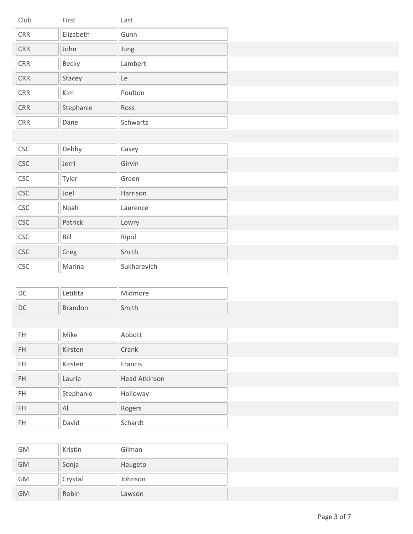| Club       | First     | Last     |  |
|------------|-----------|----------|--|
| CRR        | Elizabeth | Gunn     |  |
| CRR        | John      | Jung     |  |
| CRR        | Becky     | Lambert  |  |
| CRR        | Stacey    | Le       |  |
| CRR        | Kim       | Poulton  |  |
| CRR        | Stephanie | Ross     |  |
| <b>CRR</b> | Dane      | Schwartz |  |

| <b>CSC</b> | Debby   | Casey       |
|------------|---------|-------------|
| <b>CSC</b> | Jerri   | Girvin      |
| <b>CSC</b> | Tyler   | Green       |
| <b>CSC</b> | Joel    | Harrison    |
| <b>CSC</b> | Noah    | Laurence    |
| <b>CSC</b> | Patrick | Lowry       |
| <b>CSC</b> | Bill    | Ripol       |
| <b>CSC</b> | Greg    | Smith       |
| <b>CSC</b> | Marina  | Sukharevich |
|            |         |             |

| Letitita       | Midmore |
|----------------|---------|
| <b>Brandon</b> | Smith   |

| <b>FH</b> | Mike      | Abbott               |
|-----------|-----------|----------------------|
| <b>FH</b> | Kirsten   | Crank                |
| <b>FH</b> | Kirsten   | Francis              |
| <b>FH</b> | Laurie    | <b>Head Atkinson</b> |
| <b>FH</b> | Stephanie | Holloway             |
| <b>FH</b> | Al        | Rogers               |
| <b>FH</b> | David     | Schardt              |
|           |           |                      |

| GM        | Kristin | Gilman  |
|-----------|---------|---------|
| <b>GM</b> | Sonja   | Haugeto |
| GM        | Crystal | Johnson |
| GM        | Robin   | Lawson  |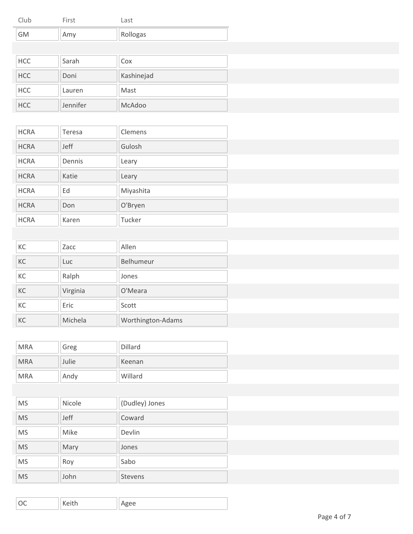| Club | First | Last     |
|------|-------|----------|
| GM   | Amy   | Rollogas |

| <b>HCC</b> | Sarah    | Cox        |
|------------|----------|------------|
| <b>HCC</b> | Doni     | Kashinejad |
| <b>HCC</b> | Lauren   | Mast       |
| <b>HCC</b> | Jennifer | McAdoo     |

| <b>HCRA</b> | Teresa      | Clemens   |  |
|-------------|-------------|-----------|--|
| <b>HCRA</b> | <b>Jeff</b> | Gulosh    |  |
| <b>HCRA</b> | Dennis      | Leary     |  |
| <b>HCRA</b> | Katie       | Leary     |  |
| <b>HCRA</b> | Ed          | Miyashita |  |
| <b>HCRA</b> | Don         | O'Bryen   |  |
| <b>HCRA</b> | Karen       | Tucker    |  |

| KC | Zacc     | Allen             |
|----|----------|-------------------|
| KC | Luc      | Belhumeur         |
| KC | Ralph    | Jones             |
| KC | Virginia | O'Meara           |
| KC | Eric     | Scott             |
| KC | Michela  | Worthington-Adams |

| <b>MRA</b> | Greg  | Dillard |
|------------|-------|---------|
| <b>MRA</b> | Julie | Keenan  |
| <b>MRA</b> | Andy  | Willard |

| <b>MS</b> | <b>Nicole</b> | (Dudley) Jones |
|-----------|---------------|----------------|
| <b>MS</b> | Jeff          | Coward         |
| <b>MS</b> | Mike          | Devlin         |
| <b>MS</b> | Mary          | Jones          |
| <b>MS</b> | Roy           | Sabo           |
| <b>MS</b> | John          | <b>Stevens</b> |

| $\overline{\wedge}$<br>$1/\sim 1 + \sim$<br>Agee<br>$\check{\,}$ |
|------------------------------------------------------------------|
|------------------------------------------------------------------|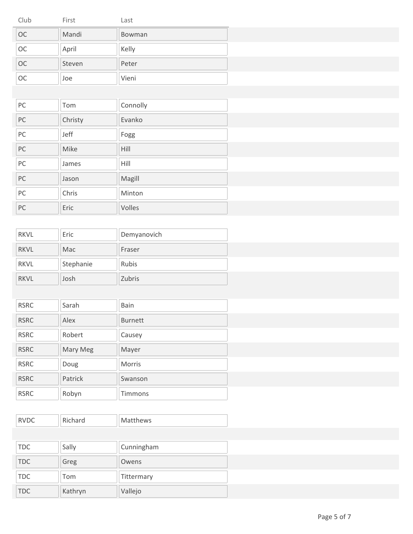| Club      | First  | Last   |
|-----------|--------|--------|
| <b>OC</b> | Mandi  | Bowman |
| <b>OC</b> | April  | Kelly  |
| <b>OC</b> | Steven | Peter  |
| <b>OC</b> | Joe    | Vieni  |

| PC | Tom     | Connolly |
|----|---------|----------|
| PC | Christy | Evanko   |
| PC | Jeff    | Fogg     |
| PC | Mike    | Hill     |
| PC | James   | Hill     |
| PC | Jason   | Magill   |
| PC | Chris   | Minton   |
| PC | Eric    | Volles   |

| <b>RKVL</b> | Eric      | Demyanovich  |
|-------------|-----------|--------------|
| <b>RKVL</b> | Mac       | Fraser       |
| <b>RKVL</b> | Stephanie | <b>Rubis</b> |
| <b>RKVL</b> | Josh      | Zubris       |

| <b>RSRC</b> | Sarah    | <b>Bain</b>    |
|-------------|----------|----------------|
| <b>RSRC</b> | Alex     | <b>Burnett</b> |
| <b>RSRC</b> | Robert   | Causey         |
| <b>RSRC</b> | Mary Meg | Mayer          |
| <b>RSRC</b> | Doug     | <b>Morris</b>  |
| <b>RSRC</b> | Patrick  | Swanson        |
| <b>RSRC</b> | Robyn    | Timmons        |

| 11111 |  |  | <b>INIGELITIEMS</b> |
|-------|--|--|---------------------|
|-------|--|--|---------------------|

| TDC  | Sally   | Cunningham |
|------|---------|------------|
| TDC  | Greg    | Owens      |
| TDC. | Tom     | Tittermary |
| TOC  | Kathryn | Vallejo    |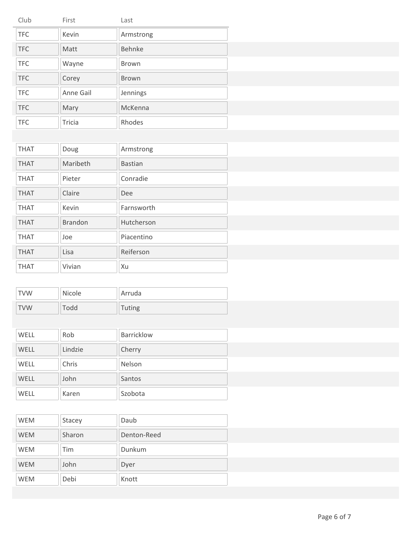| Club       | First     | Last         |
|------------|-----------|--------------|
| <b>TFC</b> | Kevin     | Armstrong    |
| <b>TFC</b> | Matt      | Behnke       |
| <b>TFC</b> | Wayne     | <b>Brown</b> |
| <b>TFC</b> | Corey     | Brown        |
| <b>TFC</b> | Anne Gail | Jennings     |
| <b>TFC</b> | Mary      | McKenna      |
| <b>TFC</b> | Tricia    | Rhodes       |

| <b>THAT</b> | Doug           | Armstrong      |
|-------------|----------------|----------------|
| <b>THAT</b> | Maribeth       | <b>Bastian</b> |
| <b>THAT</b> | Pieter         | Conradie       |
| <b>THAT</b> | Claire         | Dee            |
| <b>THAT</b> | Kevin          | Farnsworth     |
| <b>THAT</b> | <b>Brandon</b> | Hutcherson     |
| <b>THAT</b> | Joe            | Piacentino     |
| <b>THAT</b> | Lisa           | Reiferson      |
| <b>THAT</b> | Vivian         | Xu             |

| <b>TVW</b> | Nicole | Arruda        |
|------------|--------|---------------|
| <b>TVW</b> | Todd   | <b>Tuting</b> |

| <b>WELL</b> | Rob     | <b>Barricklow</b> |
|-------------|---------|-------------------|
| WELL        | Lindzie | Cherry            |
| <b>WELL</b> | Chris   | Nelson            |
| <b>WELL</b> | John    | Santos            |
| WELL        | Karen   | Szobota           |

| <b>WEM</b> | Stacey | Daub        |  |
|------------|--------|-------------|--|
| <b>WEM</b> | Sharon | Denton-Reed |  |
| <b>WEM</b> | Tim    | Dunkum      |  |
| <b>WEM</b> | John   | Dyer        |  |
| <b>WEM</b> | Debi   | Knott       |  |